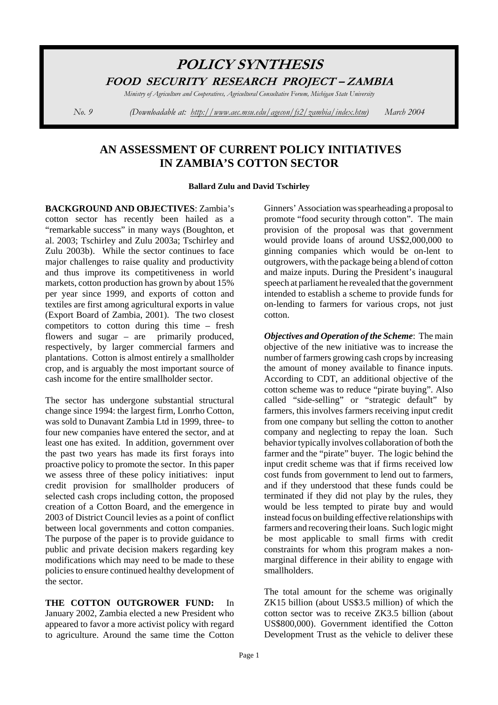# **POLICY SYNTHESIS** FOOD SECURITY RESEARCH PROJECT-ZAMBIA

Ministry of Agriculture and Cooperatives, Agricultural Consultative Forum, Michigan State University

*No. 9 (Downloadable at: <u>http://www.aec.msu.edu/agecon/fs2/zambia/</u>i* 

*March* 2004

## **AN ASSESSMENT OF CURRENT POLICY INITIATIVES IN ZAMBIA'S COTTON SECTOR**

#### **Ballard Zulu and David Tschirley**

**BACKGROUND AND OBJECTIVES**: Zambia's cotton sector has recently been hailed as a "remarkable success" in many ways (Boughton, et al. 2003; Tschirley and Zulu 2003a; Tschirley and Zulu 2003b). While the sector continues to face major challenges to raise quality and productivity and thus improve its competitiveness in world markets, cotton production has grown by about 15% per year since 1999, and exports of cotton and textiles are first among agricultural exports in value (Export Board of Zambia, 2001). The two closest competitors to cotton during this time – fresh flowers and sugar – are primarily produced, respectively, by larger commercial farmers and plantations. Cotton is almost entirely a smallholder crop, and is arguably the most important source of cash income for the entire smallholder sector.

The sector has undergone substantial structural change since 1994: the largest firm, Lonrho Cotton, was sold to Dunavant Zambia Ltd in 1999, three- to four new companies have entered the sector, and at least one has exited. In addition, government over the past two years has made its first forays into proactive policy to promote the sector. In this paper we assess three of these policy initiatives: input credit provision for smallholder producers of selected cash crops including cotton, the proposed creation of a Cotton Board, and the emergence in 2003 of District Council levies as a point of conflict between local governments and cotton companies. The purpose of the paper is to provide guidance to public and private decision makers regarding key modifications which may need to be made to these policies to ensure continued healthy development of the sector.

**THE COTTON OUTGROWER FUND:** In January 2002, Zambia elected a new President who appeared to favor a more activist policy with regard to agriculture. Around the same time the Cotton Ginners' Association was spearheading a proposal to promote "food security through cotton". The main provision of the proposal was that government would provide loans of around US\$2,000,000 to ginning companies which would be on-lent to outgrowers, with the package being a blend of cotton and maize inputs. During the President's inaugural speech at parliament he revealed that the government intended to establish a scheme to provide funds for on-lending to farmers for various crops, not just cotton.

*Objectives and Operation of the Scheme*: The main objective of the new initiative was to increase the number of farmers growing cash crops by increasing the amount of money available to finance inputs. According to CDT, an additional objective of the cotton scheme was to reduce "pirate buying". Also called "side-selling" or "strategic default" by farmers, this involves farmers receiving input credit from one company but selling the cotton to another company and neglecting to repay the loan. Such behavior typically involves collaboration of both the farmer and the "pirate" buyer. The logic behind the input credit scheme was that if firms received low cost funds from government to lend out to farmers, and if they understood that these funds could be terminated if they did not play by the rules, they would be less tempted to pirate buy and would instead focus on building effective relationships with farmers and recovering their loans. Such logic might be most applicable to small firms with credit constraints for whom this program makes a nonmarginal difference in their ability to engage with smallholders.

The total amount for the scheme was originally ZK15 billion (about US\$3.5 million) of which the cotton sector was to receive ZK3.5 billion (about US\$800,000). Government identified the Cotton Development Trust as the vehicle to deliver these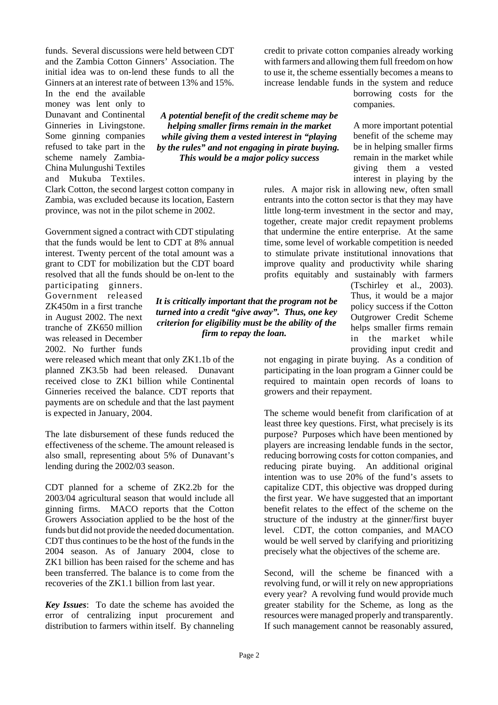funds. Several discussions were held between CDT and the Zambia Cotton Ginners' Association. The initial idea was to on-lend these funds to all the Ginners at an interest rate of between 13% and 15%.

In the end the available money was lent only to Dunavant and Continental Ginneries in Livingstone. Some ginning companies refused to take part in the scheme namely Zambia-China Mulungushi Textiles and Mukuba Textiles.

*A potential benefit of the credit scheme may be helping smaller firms remain in the market while giving them a vested interest in "playing by the rules" and not engaging in pirate buying. This would be a major policy success*

*It is critically important that the program not be turned into a credit "give away". Thus, one key criterion for eligibility must be the ability of the firm to repay the loan.* 

Clark Cotton, the second largest cotton company in Zambia, was excluded because its location, Eastern province, was not in the pilot scheme in 2002.

Government signed a contract with CDT stipulating that the funds would be lent to CDT at 8% annual interest. Twenty percent of the total amount was a grant to CDT for mobilization but the CDT board resolved that all the funds should be on-lent to the

participating ginners. Government released ZK450m in a first tranche in August 2002. The next tranche of ZK650 million was released in December 2002. No further funds

were released which meant that only ZK1.1b of the planned ZK3.5b had been released. Dunavant received close to ZK1 billion while Continental Ginneries received the balance. CDT reports that payments are on schedule and that the last payment is expected in January, 2004.

The late disbursement of these funds reduced the effectiveness of the scheme. The amount released is also small, representing about 5% of Dunavant's lending during the 2002/03 season.

CDT planned for a scheme of ZK2.2b for the 2003/04 agricultural season that would include all ginning firms. MACO reports that the Cotton Growers Association applied to be the host of the funds but did not provide the needed documentation. CDT thus continues to be the host of the funds in the 2004 season. As of January 2004, close to ZK1 billion has been raised for the scheme and has been transferred. The balance is to come from the recoveries of the ZK1.1 billion from last year.

*Key Issues*: To date the scheme has avoided the error of centralizing input procurement and distribution to farmers within itself. By channeling with farmers and allowing them full freedom on how to use it, the scheme essentially becomes a means to increase lendable funds in the system and reduce

credit to private cotton companies already working

borrowing costs for the companies.

A more important potential benefit of the scheme may be in helping smaller firms remain in the market while giving them a vested interest in playing by the

rules. A major risk in allowing new, often small entrants into the cotton sector is that they may have little long-term investment in the sector and may, together, create major credit repayment problems that undermine the entire enterprise. At the same time, some level of workable competition is needed to stimulate private institutional innovations that improve quality and productivity while sharing profits equitably and sustainably with farmers

> (Tschirley et al., 2003). Thus, it would be a major policy success if the Cotton Outgrower Credit Scheme helps smaller firms remain in the market while providing input credit and

not engaging in pirate buying. As a condition of participating in the loan program a Ginner could be required to maintain open records of loans to growers and their repayment.

The scheme would benefit from clarification of at least three key questions. First, what precisely is its purpose? Purposes which have been mentioned by players are increasing lendable funds in the sector, reducing borrowing costs for cotton companies, and reducing pirate buying. An additional original intention was to use 20% of the fund's assets to capitalize CDT, this objective was dropped during the first year. We have suggested that an important benefit relates to the effect of the scheme on the structure of the industry at the ginner/first buyer level. CDT, the cotton companies, and MACO would be well served by clarifying and prioritizing precisely what the objectives of the scheme are.

Second, will the scheme be financed with a revolving fund, or will it rely on new appropriations every year? A revolving fund would provide much greater stability for the Scheme, as long as the resources were managed properly and transparently. If such management cannot be reasonably assured,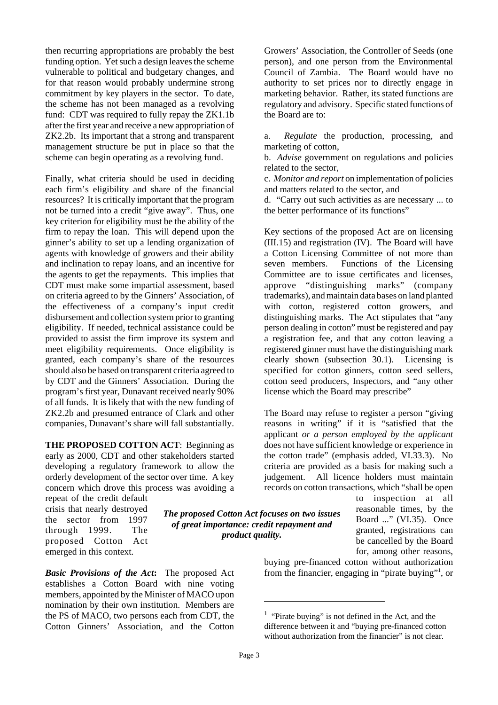then recurring appropriations are probably the best funding option. Yet such a design leaves the scheme vulnerable to political and budgetary changes, and for that reason would probably undermine strong commitment by key players in the sector. To date, the scheme has not been managed as a revolving fund: CDT was required to fully repay the ZK1.1b after the first year and receive a new appropriation of ZK2.2b. Its important that a strong and transparent management structure be put in place so that the scheme can begin operating as a revolving fund.

Finally, what criteria should be used in deciding each firm's eligibility and share of the financial resources? It is critically important that the program not be turned into a credit "give away". Thus, one key criterion for eligibility must be the ability of the firm to repay the loan. This will depend upon the ginner's ability to set up a lending organization of agents with knowledge of growers and their ability and inclination to repay loans, and an incentive for the agents to get the repayments. This implies that CDT must make some impartial assessment, based on criteria agreed to by the Ginners' Association, of the effectiveness of a company's input credit disbursement and collection system prior to granting eligibility. If needed, technical assistance could be provided to assist the firm improve its system and meet eligibility requirements. Once eligibility is granted, each company's share of the resources should also be based on transparent criteria agreed to by CDT and the Ginners' Association. During the program's first year, Dunavant received nearly 90% of all funds. It is likely that with the new funding of ZK2.2b and presumed entrance of Clark and other companies, Dunavant's share will fall substantially.

**THE PROPOSED COTTON ACT**: Beginning as early as 2000, CDT and other stakeholders started developing a regulatory framework to allow the orderly development of the sector over time. A key concern which drove this process was avoiding a

repeat of the credit default crisis that nearly destroyed the sector from 1997 through 1999. The proposed Cotton Act emerged in this context.

*Basic Provisions of the Act***:** The proposed Act establishes a Cotton Board with nine voting members, appointed by the Minister of MACO upon nomination by their own institution. Members are the PS of MACO, two persons each from CDT, the Cotton Ginners' Association, and the Cotton

Growers' Association, the Controller of Seeds (one person), and one person from the Environmental Council of Zambia. The Board would have no authority to set prices nor to directly engage in marketing behavior. Rather, its stated functions are regulatory and advisory. Specific stated functions of the Board are to:

a. *Regulate* the production, processing, and marketing of cotton,

b. *Advise* government on regulations and policies related to the sector,

c. *Monitor and report* on implementation of policies and matters related to the sector, and

d. "Carry out such activities as are necessary ... to the better performance of its functions"

Key sections of the proposed Act are on licensing (III.15) and registration (IV). The Board will have a Cotton Licensing Committee of not more than seven members. Functions of the Licensing Committee are to issue certificates and licenses, approve "distinguishing marks" (company trademarks), and maintain data bases on land planted with cotton, registered cotton growers, and distinguishing marks. The Act stipulates that "any person dealing in cotton" must be registered and pay a registration fee, and that any cotton leaving a registered ginner must have the distinguishing mark clearly shown (subsection 30.1). Licensing is specified for cotton ginners, cotton seed sellers, cotton seed producers, Inspectors, and "any other license which the Board may prescribe"

The Board may refuse to register a person "giving reasons in writing" if it is "satisfied that the applicant *or a person employed by the applicant* does not have sufficient knowledge or experience in the cotton trade" (emphasis added, VI.33.3). No criteria are provided as a basis for making such a judgement. All licence holders must maintain records on cotton transactions, which "shall be open

> to inspection at all reasonable times, by the Board ..." (VI.35). Once granted, registrations can be cancelled by the Board for, among other reasons,

buying pre-financed cotton without authorization from the financier, engaging in "pirate buying"<sup>1</sup>, or

*The proposed Cotton Act focuses on two issues of great importance: credit repayment and product quality.*

<sup>&</sup>lt;sup>1</sup> "Pirate buying" is not defined in the Act, and the difference between it and "buying pre-financed cotton without authorization from the financier" is not clear.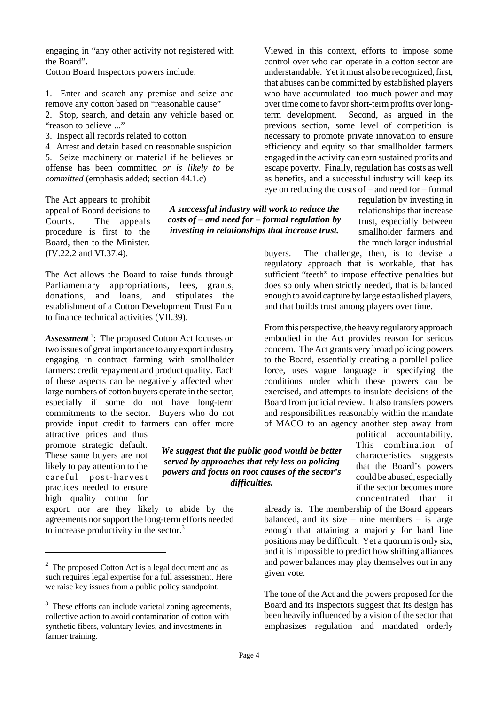engaging in "any other activity not registered with the Board".

Cotton Board Inspectors powers include:

1. Enter and search any premise and seize and remove any cotton based on "reasonable cause" 2. Stop, search, and detain any vehicle based on "reason to believe ..."

3. Inspect all records related to cotton

4. Arrest and detain based on reasonable suspicion. 5. Seize machinery or material if he believes an offense has been committed *or is likely to be committed* (emphasis added; section 44.1.c)

The Act appears to prohibit appeal of Board decisions to Courts. The appeals procedure is first to the Board, then to the Minister. (IV.22.2 and VI.37.4).

The Act allows the Board to raise funds through Parliamentary appropriations, fees, grants, donations, and loans, and stipulates the establishment of a Cotton Development Trust Fund to finance technical activities (VII.39).

*Assessment* <sup>2</sup> : The proposed Cotton Act focuses on two issues of great importance to any export industry engaging in contract farming with smallholder farmers: credit repayment and product quality. Each of these aspects can be negatively affected when large numbers of cotton buyers operate in the sector, especially if some do not have long-term commitments to the sector. Buyers who do not provide input credit to farmers can offer more

attractive prices and thus promote strategic default. These same buyers are not likely to pay attention to the careful post-harvest practices needed to ensure high quality cotton for

export, nor are they likely to abide by the agreements nor support the long-term efforts needed to increase productivity in the sector. $3$ 

*A successful industry will work to reduce the costs of – and need for – formal regulation by investing in relationships that increase trust.*

Viewed in this context, efforts to impose some control over who can operate in a cotton sector are understandable. Yet it must also be recognized, first, that abuses can be committed by established players who have accumulated too much power and may over time come to favor short-term profits over longterm development. Second, as argued in the previous section, some level of competition is necessary to promote private innovation to ensure efficiency and equity so that smallholder farmers engaged in the activity can earn sustained profits and escape poverty. Finally, regulation has costs as well as benefits, and a successful industry will keep its eye on reducing the costs of – and need for – formal

> regulation by investing in relationships that increase trust, especially between smallholder farmers and the much larger industrial

buyers. The challenge, then, is to devise a regulatory approach that is workable, that has sufficient "teeth" to impose effective penalties but does so only when strictly needed, that is balanced enough to avoid capture by large established players, and that builds trust among players over time.

From this perspective, the heavy regulatory approach embodied in the Act provides reason for serious concern. The Act grants very broad policing powers to the Board, essentially creating a parallel police force, uses vague language in specifying the conditions under which these powers can be exercised, and attempts to insulate decisions of the Board from judicial review. It also transfers powers and responsibilities reasonably within the mandate of MACO to an agency another step away from

> political accountability. This combination of characteristics suggests that the Board's powers could be abused, especially if the sector becomes more concentrated than it

already is. The membership of the Board appears balanced, and its size – nine members – is large enough that attaining a majority for hard line positions may be difficult. Yet a quorum is only six, and it is impossible to predict how shifting alliances and power balances may play themselves out in any given vote.

The tone of the Act and the powers proposed for the Board and its Inspectors suggest that its design has been heavily influenced by a vision of the sector that emphasizes regulation and mandated orderly

*We suggest that the public good would be better served by approaches that rely less on policing powers and focus on root causes of the sector's difficulties.*

 $2$  The proposed Cotton Act is a legal document and as such requires legal expertise for a full assessment. Here we raise key issues from a public policy standpoint.

 $3$  These efforts can include varietal zoning agreements, collective action to avoid contamination of cotton with synthetic fibers, voluntary levies, and investments in farmer training.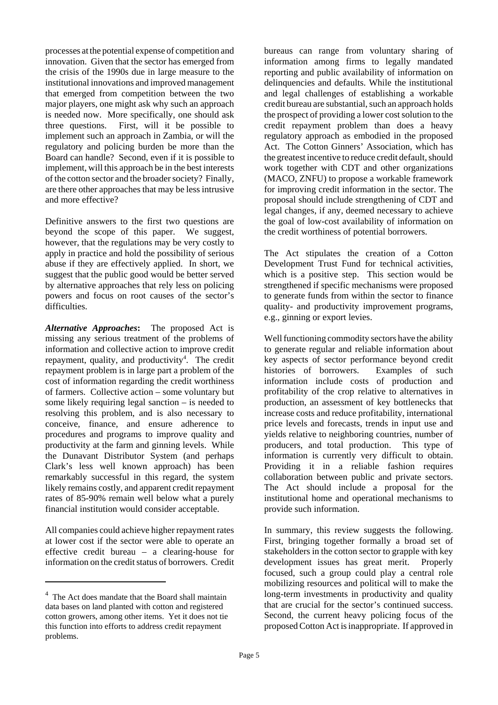processes at the potential expense of competition and innovation. Given that the sector has emerged from the crisis of the 1990s due in large measure to the institutional innovations and improved management that emerged from competition between the two major players, one might ask why such an approach is needed now. More specifically, one should ask three questions. First, will it be possible to implement such an approach in Zambia, or will the regulatory and policing burden be more than the Board can handle? Second, even if it is possible to implement, will this approach be in the best interests of the cotton sector and the broader society? Finally, are there other approaches that may be less intrusive and more effective?

Definitive answers to the first two questions are beyond the scope of this paper. We suggest, however, that the regulations may be very costly to apply in practice and hold the possibility of serious abuse if they are effectively applied. In short, we suggest that the public good would be better served by alternative approaches that rely less on policing powers and focus on root causes of the sector's difficulties.

*Alternative Approaches***:** The proposed Act is missing any serious treatment of the problems of information and collective action to improve credit repayment, quality, and productivity<sup>4</sup>. The credit repayment problem is in large part a problem of the cost of information regarding the credit worthiness of farmers. Collective action – some voluntary but some likely requiring legal sanction – is needed to resolving this problem, and is also necessary to conceive, finance, and ensure adherence to procedures and programs to improve quality and productivity at the farm and ginning levels. While the Dunavant Distributor System (and perhaps Clark's less well known approach) has been remarkably successful in this regard, the system likely remains costly, and apparent credit repayment rates of 85-90% remain well below what a purely financial institution would consider acceptable.

All companies could achieve higher repayment rates at lower cost if the sector were able to operate an effective credit bureau – a clearing-house for information on the credit status of borrowers. Credit bureaus can range from voluntary sharing of information among firms to legally mandated reporting and public availability of information on delinquencies and defaults. While the institutional and legal challenges of establishing a workable credit bureau are substantial, such an approach holds the prospect of providing a lower cost solution to the credit repayment problem than does a heavy regulatory approach as embodied in the proposed Act. The Cotton Ginners' Association, which has the greatest incentive to reduce credit default, should work together with CDT and other organizations (MACO, ZNFU) to propose a workable framework for improving credit information in the sector. The proposal should include strengthening of CDT and legal changes, if any, deemed necessary to achieve the goal of low-cost availability of information on the credit worthiness of potential borrowers.

The Act stipulates the creation of a Cotton Development Trust Fund for technical activities, which is a positive step. This section would be strengthened if specific mechanisms were proposed to generate funds from within the sector to finance quality- and productivity improvement programs, e.g., ginning or export levies.

Well functioning commodity sectors have the ability to generate regular and reliable information about key aspects of sector performance beyond credit histories of borrowers. Examples of such information include costs of production and profitability of the crop relative to alternatives in production, an assessment of key bottlenecks that increase costs and reduce profitability, international price levels and forecasts, trends in input use and yields relative to neighboring countries, number of producers, and total production. This type of information is currently very difficult to obtain. Providing it in a reliable fashion requires collaboration between public and private sectors. The Act should include a proposal for the institutional home and operational mechanisms to provide such information.

In summary, this review suggests the following. First, bringing together formally a broad set of stakeholders in the cotton sector to grapple with key development issues has great merit. Properly focused, such a group could play a central role mobilizing resources and political will to make the long-term investments in productivity and quality that are crucial for the sector's continued success. Second, the current heavy policing focus of the proposed Cotton Act is inappropriate. If approved in

<sup>&</sup>lt;sup>4</sup> The Act does mandate that the Board shall maintain data bases on land planted with cotton and registered cotton growers, among other items. Yet it does not tie this function into efforts to address credit repayment problems.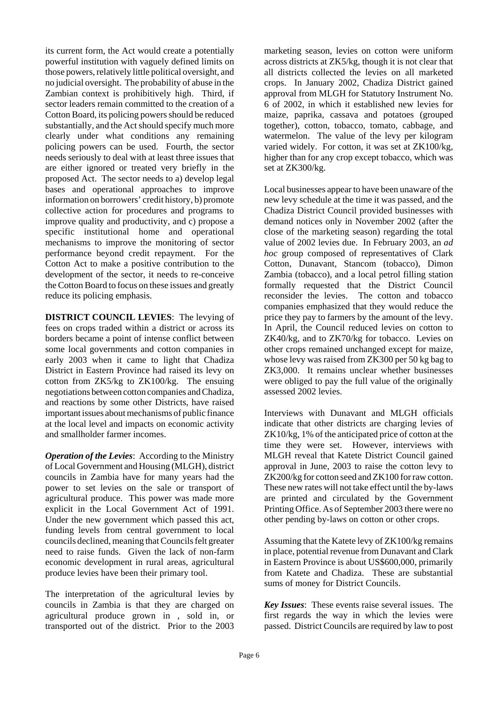its current form, the Act would create a potentially powerful institution with vaguely defined limits on those powers, relatively little political oversight, and no judicial oversight. The probability of abuse in the Zambian context is prohibitively high. Third, if sector leaders remain committed to the creation of a Cotton Board, its policing powers should be reduced substantially, and the Act should specify much more clearly under what conditions any remaining policing powers can be used. Fourth, the sector needs seriously to deal with at least three issues that are either ignored or treated very briefly in the proposed Act. The sector needs to a) develop legal bases and operational approaches to improve information on borrowers' credit history, b) promote collective action for procedures and programs to improve quality and productivity, and c) propose a specific institutional home and operational mechanisms to improve the monitoring of sector performance beyond credit repayment. For the Cotton Act to make a positive contribution to the development of the sector, it needs to re-conceive the Cotton Board to focus on these issues and greatly reduce its policing emphasis.

**DISTRICT COUNCIL LEVIES**: The levying of fees on crops traded within a district or across its borders became a point of intense conflict between some local governments and cotton companies in early 2003 when it came to light that Chadiza District in Eastern Province had raised its levy on cotton from ZK5/kg to ZK100/kg. The ensuing negotiations between cotton companies and Chadiza, and reactions by some other Districts, have raised important issues about mechanisms of public finance at the local level and impacts on economic activity and smallholder farmer incomes.

*Operation of the Levies*: According to the Ministry of Local Government and Housing (MLGH), district councils in Zambia have for many years had the power to set levies on the sale or transport of agricultural produce. This power was made more explicit in the Local Government Act of 1991. Under the new government which passed this act, funding levels from central government to local councils declined, meaning that Councils felt greater need to raise funds. Given the lack of non-farm economic development in rural areas, agricultural produce levies have been their primary tool.

The interpretation of the agricultural levies by councils in Zambia is that they are charged on agricultural produce grown in , sold in, or transported out of the district. Prior to the 2003 marketing season, levies on cotton were uniform across districts at ZK5/kg, though it is not clear that all districts collected the levies on all marketed crops. In January 2002, Chadiza District gained approval from MLGH for Statutory Instrument No. 6 of 2002, in which it established new levies for maize, paprika, cassava and potatoes (grouped together), cotton, tobacco, tomato, cabbage, and watermelon. The value of the levy per kilogram varied widely. For cotton, it was set at ZK100/kg, higher than for any crop except tobacco, which was set at ZK300/kg.

Local businesses appear to have been unaware of the new levy schedule at the time it was passed, and the Chadiza District Council provided businesses with demand notices only in November 2002 (after the close of the marketing season) regarding the total value of 2002 levies due. In February 2003, an *ad hoc* group composed of representatives of Clark Cotton, Dunavant, Stancom (tobacco), Dimon Zambia (tobacco), and a local petrol filling station formally requested that the District Council reconsider the levies. The cotton and tobacco companies emphasized that they would reduce the price they pay to farmers by the amount of the levy. In April, the Council reduced levies on cotton to ZK40/kg, and to ZK70/kg for tobacco. Levies on other crops remained unchanged except for maize, whose levy was raised from ZK300 per 50 kg bag to ZK3,000. It remains unclear whether businesses were obliged to pay the full value of the originally assessed 2002 levies.

Interviews with Dunavant and MLGH officials indicate that other districts are charging levies of ZK10/kg, 1% of the anticipated price of cotton at the time they were set. However, interviews with MLGH reveal that Katete District Council gained approval in June, 2003 to raise the cotton levy to ZK200/kg for cotton seed and ZK100 for raw cotton. These new rates will not take effect until the by-laws are printed and circulated by the Government Printing Office. As of September 2003 there were no other pending by-laws on cotton or other crops.

Assuming that the Katete levy of ZK100/kg remains in place, potential revenue from Dunavant and Clark in Eastern Province is about US\$600,000, primarily from Katete and Chadiza. These are substantial sums of money for District Councils.

*Key Issues*: These events raise several issues. The first regards the way in which the levies were passed. District Councils are required by law to post